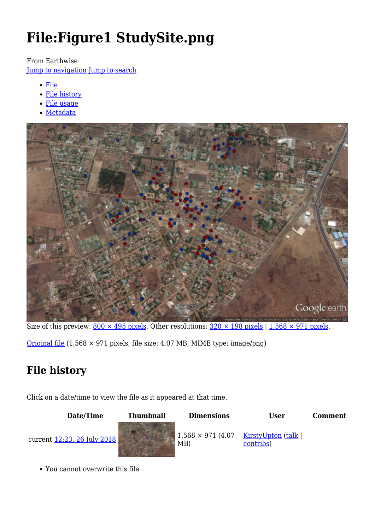# **File:Figure1 StudySite.png**

From Earthwise

[Jump to navigation](#page--1-0) [Jump to search](#page--1-0)

- [File](#page--1-0)
- [File history](#page--1-0)
- [File usage](#page--1-0)
- [Metadata](#page--1-0)



Size of this preview:  $800 \times 495$  pixels. Other resolutions:  $320 \times 198$  pixels | 1,568  $\times$  971 pixels.

[Original file](http://earthwise.bgs.ac.uk/images/8/8e/Figure1_StudySite.png) (1,568 × 971 pixels, file size: 4.07 MB, MIME type: image/png)

### **File history**

Click on a date/time to view the file as it appeared at that time.

#### **Date/Time Thumbnail Dimensions User Comment**



MB) [KirstyUpton](http://earthwise.bgs.ac.uk/index.php/User:KirstyUpton) [\(talk](http://earthwise.bgs.ac.uk/index.php/User_talk:KirstyUpton) | [contribs\)](http://earthwise.bgs.ac.uk/index.php/Special:Contributions/KirstyUpton)

You cannot overwrite this file.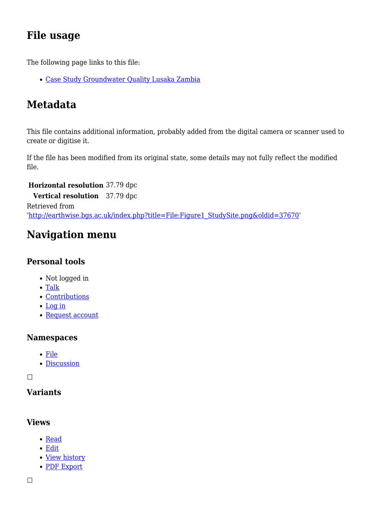### **File usage**

The following page links to this file:

[Case Study Groundwater Quality Lusaka Zambia](http://earthwise.bgs.ac.uk/index.php/Case_Study_Groundwater_Quality_Lusaka_Zambia)

### **Metadata**

This file contains additional information, probably added from the digital camera or scanner used to create or digitise it.

If the file has been modified from its original state, some details may not fully reflect the modified file.

**Horizontal resolution** 37.79 dpc

**Vertical resolution** 37.79 dpc Retrieved from '[http://earthwise.bgs.ac.uk/index.php?title=File:Figure1\\_StudySite.png&oldid=37670'](http://earthwise.bgs.ac.uk/index.php?title=File:Figure1_StudySite.png&oldid=37670)

## **Navigation menu**

#### **Personal tools**

- Not logged in
- [Talk](http://earthwise.bgs.ac.uk/index.php/Special:MyTalk)
- [Contributions](http://earthwise.bgs.ac.uk/index.php/Special:MyContributions)
- [Log in](http://earthwise.bgs.ac.uk/index.php?title=Special:UserLogin&returnto=File%3AFigure1+StudySite.png&returntoquery=action%3Dmpdf)
- [Request account](http://earthwise.bgs.ac.uk/index.php/Special:RequestAccount)

#### **Namespaces**

- [File](http://earthwise.bgs.ac.uk/index.php/File:Figure1_StudySite.png)
- [Discussion](http://earthwise.bgs.ac.uk/index.php?title=File_talk:Figure1_StudySite.png&action=edit&redlink=1)

 $\Box$ 

### **Variants**

#### **Views**

- [Read](http://earthwise.bgs.ac.uk/index.php/File:Figure1_StudySite.png)
- [Edit](http://earthwise.bgs.ac.uk/index.php?title=File:Figure1_StudySite.png&action=edit)
- [View history](http://earthwise.bgs.ac.uk/index.php?title=File:Figure1_StudySite.png&action=history)
- [PDF Export](http://earthwise.bgs.ac.uk/index.php?title=File:Figure1_StudySite.png&action=mpdf)

 $\Box$